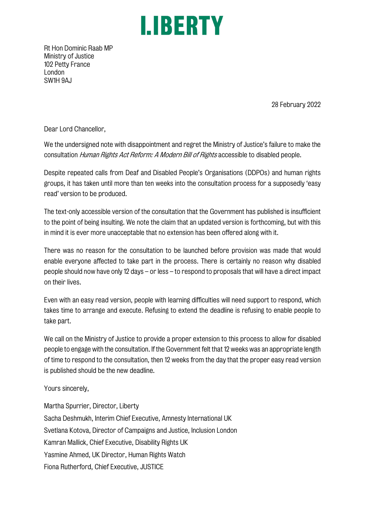## I. BERTY

Rt Hon Dominic Raab MP Ministry of Justice 102 Petty France London SW1H 9AJ

28 February 2022

Dear Lord Chancellor,

We the undersigned note with disappointment and regret the Ministry of Justice's failure to make the consultation Human Rights Act Reform: A Modern Bill of Rights accessible to disabled people.

Despite repeated calls from Deaf and Disabled People's Organisations (DDPOs) and human rights groups, it has taken until more than ten weeks into the consultation process for a supposedly 'easy read' version to be produced.

The text-only accessible version of the consultation that the Government has published is insufficient to the point of being insulting. We note the claim that an updated version is forthcoming, but with this in mind it is ever more unacceptable that no extension has been offered along with it.

There was no reason for the consultation to be launched before provision was made that would enable everyone affected to take part in the process. There is certainly no reason why disabled people should now have only 12 days – or less – to respond to proposals that will have a direct impact on their lives.

Even with an easy read version, people with learning difficulties will need support to respond, which takes time to arrange and execute. Refusing to extend the deadline is refusing to enable people to take part.

We call on the Ministry of Justice to provide a proper extension to this process to allow for disabled people to engage with the consultation. If the Government felt that 12 weeks was an appropriate length of time to respond to the consultation, then 12 weeks from the day that the proper easy read version is published should be the new deadline.

Yours sincerely,

Martha Spurrier, Director, Liberty Sacha Deshmukh, Interim Chief Executive, Amnesty International UK Svetlana Kotova, Director of Campaigns and Justice, Inclusion London Kamran Mallick, Chief Executive, Disability Rights UK Yasmine Ahmed, UK Director, Human Rights Watch Fiona Rutherford, Chief Executive, JUSTICE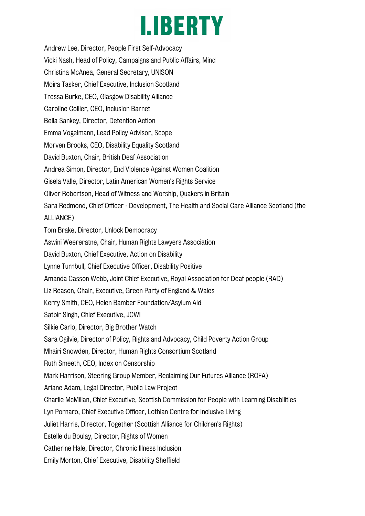## I. BERTY

Andrew Lee, Director, People First Self-Advocacy Vicki Nash, Head of Policy, Campaigns and Public Affairs, Mind Christina McAnea, General Secretary, UNISON Moira Tasker, Chief Executive, Inclusion Scotland Tressa Burke, CEO, Glasgow Disability Alliance Caroline Collier, CEO, Inclusion Barnet Bella Sankey, Director, Detention Action Emma Vogelmann, Lead Policy Advisor, Scope Morven Brooks, CEO, Disability Equality Scotland David Buxton, Chair, British Deaf Association Andrea Simon, Director, End Violence Against Women Coalition Gisela Valle, Director, Latin American Women's Rights Service Oliver Robertson, Head of Witness and Worship, Quakers in Britain Sara Redmond, Chief Officer - Development, The Health and Social Care Alliance Scotland (the ALLIANCE) Tom Brake, Director, Unlock Democracy Aswini Weereratne, Chair, Human Rights Lawyers Association David Buxton, Chief Executive, Action on Disability Lynne Turnbull, Chief Executive Officer, Disability Positive Amanda Casson Webb, Joint Chief Executive, Royal Association for Deaf people (RAD) Liz Reason, Chair, Executive, Green Party of England & Wales Kerry Smith, CEO, Helen Bamber Foundation/Asylum Aid Satbir Singh, Chief Executive, JCWI Silkie Carlo, Director, Big Brother Watch Sara Ogilvie, Director of Policy, Rights and Advocacy, Child Poverty Action Group Mhairi Snowden, Director, Human Rights Consortium Scotland Ruth Smeeth, CEO, Index on Censorship Mark Harrison, Steering Group Member, Reclaiming Our Futures Alliance (ROFA) Ariane Adam, Legal Director, Public Law Project Charlie McMillan, Chief Executive, Scottish Commission for People with Learning Disabilities Lyn Pornaro, Chief Executive Officer, Lothian Centre for Inclusive Living Juliet Harris, Director, Together (Scottish Alliance for Children's Rights) Estelle du Boulay, Director, Rights of Women Catherine Hale, Director, Chronic Illness Inclusion Emily Morton, Chief Executive, Disability Sheffield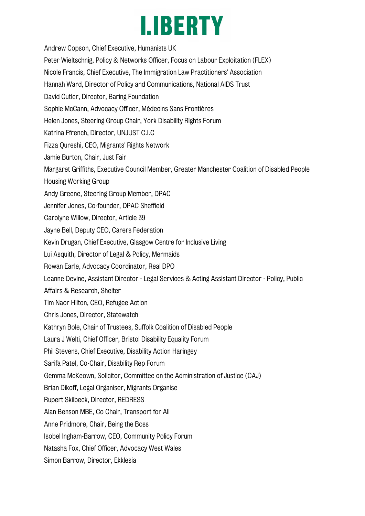### **I.IBERTY**

Andrew Copson, Chief Executive, Humanists UK Peter Wieltschnig, Policy & Networks Officer, Focus on Labour Exploitation (FLEX) Nicole Francis, Chief Executive, The Immigration Law Practitioners' Association Hannah Ward, Director of Policy and Communications, National AIDS Trust David Cutler, Director, Baring Foundation Sophie McCann, Advocacy Officer, Médecins Sans Frontières Helen Jones, Steering Group Chair, York Disability Rights Forum Katrina Ffrench, Director, UNJUST C.I.C Fizza Qureshi, CEO, Migrants' Rights Network Jamie Burton, Chair, Just Fair Margaret Griffiths, Executive Council Member, Greater Manchester Coalition of Disabled People Housing Working Group Andy Greene, Steering Group Member, DPAC Jennifer Jones, Co-founder, DPAC Sheffield Carolyne Willow, Director, Article 39 Jayne Bell, Deputy CEO, Carers Federation Kevin Drugan, Chief Executive, Glasgow Centre for Inclusive Living Lui Asquith, Director of Legal & Policy, Mermaids Rowan Earle, Advocacy Coordinator, Real DPO Leanne Devine, Assistant Director - Legal Services & Acting Assistant Director - Policy, Public Affairs & Research, Shelter Tim Naor Hilton, CEO, Refugee Action Chris Jones, Director, Statewatch Kathryn Bole, Chair of Trustees, Suffolk Coalition of Disabled People Laura J Welti, Chief Officer, Bristol Disability Equality Forum Phil Stevens, Chief Executive, Disability Action Haringey Sarifa Patel, Co-Chair, Disability Rep Forum Gemma McKeown, Solicitor, Committee on the Administration of Justice (CAJ) Brian Dikoff, Legal Organiser, Migrants Organise Rupert Skilbeck, Director, REDRESS Alan Benson MBE, Co Chair, Transport for All Anne Pridmore, Chair, Being the Boss Isobel Ingham-Barrow, CEO, Community Policy Forum Natasha Fox, Chief Officer, Advocacy West Wales Simon Barrow, Director, Ekklesia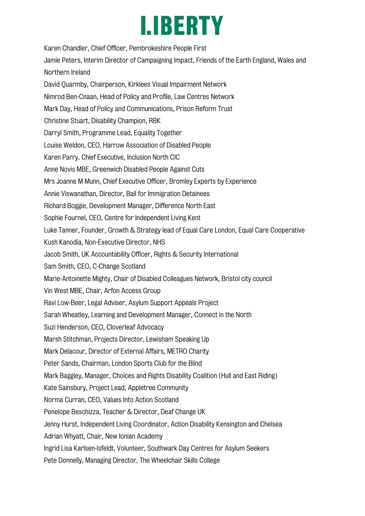### LIBERTY

Karen Chandler, Chief Officer, Pembrokeshire People First Jamie Peters, Interim Director of Campaigning Impact, Friends of the Earth England, Wales and Northern Ireland David Quarmby, Chairperson, Kirklees Visual Impairment Network Nimrod Ben-Cnaan, Head of Policy and Profile, Law Centres Network Mark Day, Head of Policy and Communications, Prison Reform Trust Christine Stuart, Disability Champion, RBK Darryl Smith, Programme Lead, Equality Together Louise Weldon, CEO, Harrow Association of Disabled People Karen Parry, Chief Executive, Inclusion North CIC Anne Novis MBE, Greenwich Disabled People Against Cuts Mrs Joanne M Munn, Chief Executive Officer, Bromley Experts by Experience Annie Viswanathan, Director, Bail for Immigration Detainees Richard Boggie, Development Manager, Difference North East Sophie Fournel, CEO, Centre for Independent Living Kent Luke Tanner, Founder, Growth & Strategy lead of Equal Care London, Equal Care Cooperative Kush Kanodia, Non-Executive Director, NHS Jacob Smith, UK Accountability Officer, Rights & Security International Sam Smith, CEO, C-Change Scotland Marie-Antoinette Mighty, Chair of Disabled Colleagues Network, Bristol city council Vin West MBE, Chair, Arfon Access Group Ravi Low-Beer, Legal Adviser, Asylum Support Appeals Project Sarah Wheatley, Learning and Development Manager, Connect in the North Suzi Henderson, CEO, Cloverleaf Advocacy Marsh Stitchman, Projects Director, Lewisham Speaking Up Mark Delacour, Director of External Affairs, METRO Charity Peter Sands, Chairman, London Sports Club for the Blind Mark Baggley, Manager, Choices and Rights Disability Coalition (Hull and East Riding) Kate Sainsbury, Project Lead, Appletree Community Norma Curran, CEO, Values Into Action Scotland Penelope Beschizza, Teacher & Director, Deaf Change UK Jenny Hurst, Independent Living Coordinator, Action Disability Kensington and Chelsea Adrian Whyatt, Chair, New Ionian Academy Ingrid Lisa Karlsen-Isfeldt, Volunteer, Southwark Day Centres for Asylum Seekers Pete Donnelly, Managing Director, The Wheelchair Skills College